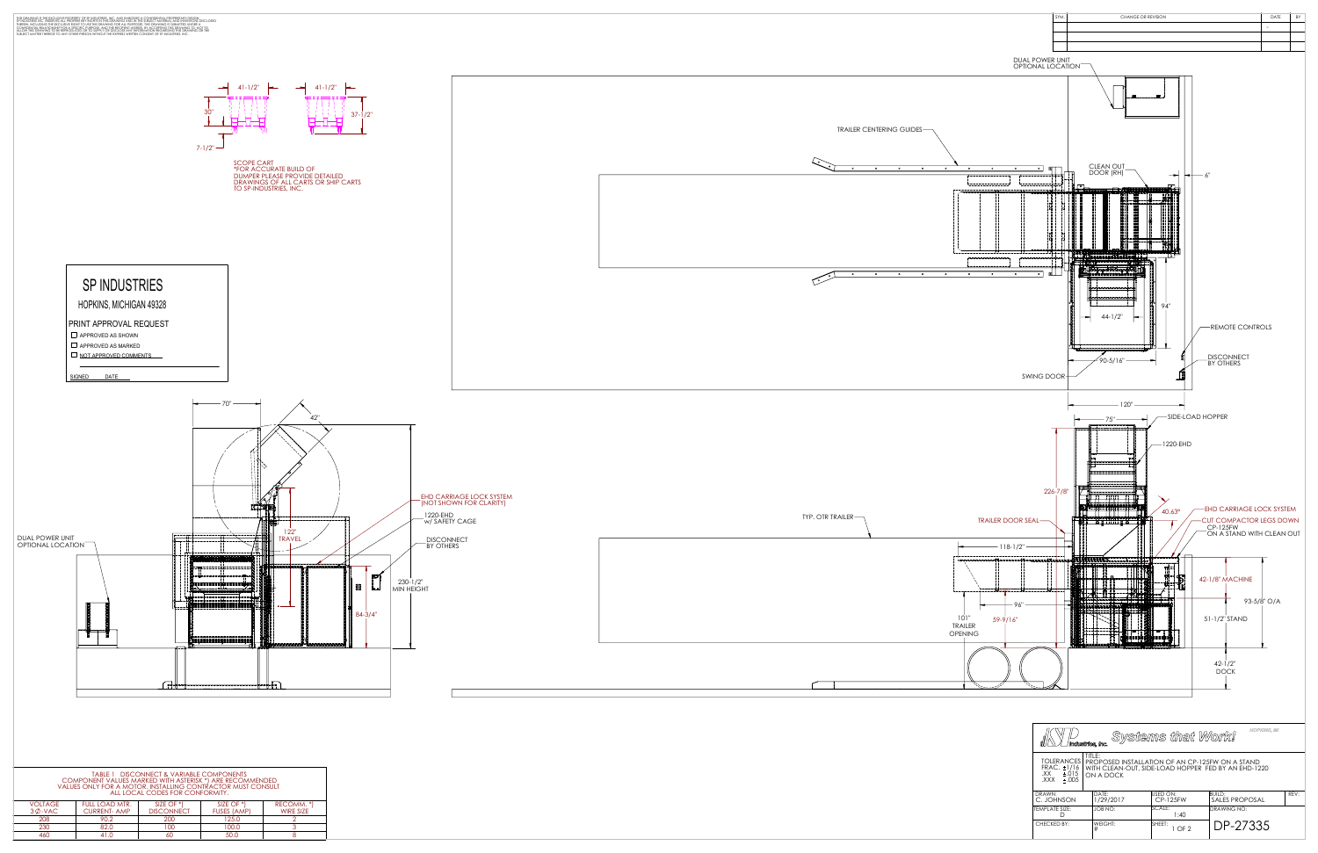